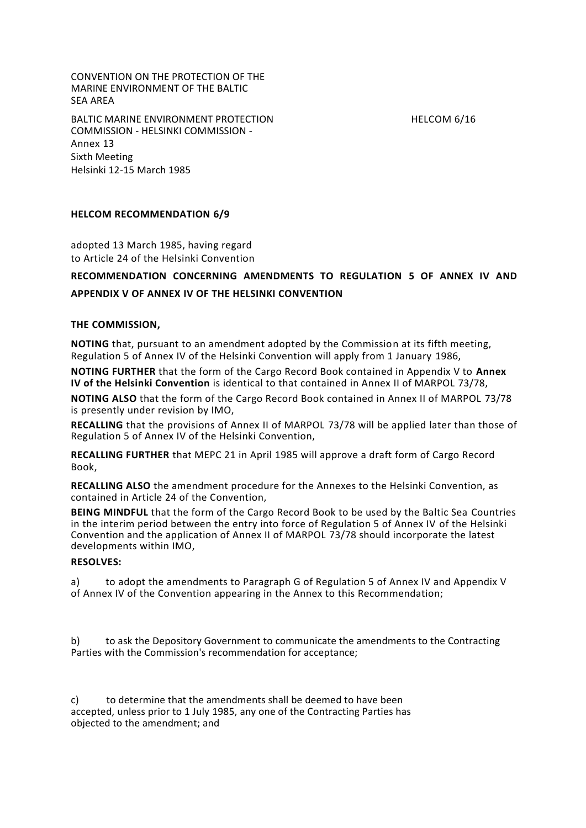CONVENTION ON THE PROTECTION OF THE MARINE ENVIRONMENT OF THE BALTIC SEA AREA

BALTIC MARINE ENVIRONMENT PROTECTION FOR THE RELEXANGEMENT OF THE LOOM 6/16 COMMISSION - HELSINKI COMMISSION - Annex 13 Sixth Meeting Helsinki 12-15 March 1985

## **HELCOM RECOMMENDATION 6/9**

adopted 13 March 1985, having regard to Article 24 of the Helsinki Convention

# **RECOMMENDATION CONCERNING AMENDMENTS TO REGULATION 5 OF ANNEX IV AND APPENDIX V OF ANNEX IV OF THE HELSINKI CONVENTION**

#### **THE COMMISSION,**

**NOTING** that, pursuant to an amendment adopted by the Commission at its fifth meeting, Regulation 5 of Annex IV of the Helsinki Convention will apply from 1 January 1986,

**NOTING FURTHER** that the form of the Cargo Record Book contained in Appendix V to **Annex IV of the Helsinki Convention** is identical to that contained in Annex II of MARPOL 73/78,

**NOTING ALSO** that the form of the Cargo Record Book contained in Annex II of MARPOL 73/78 is presently under revision by IMO,

**RECALLING** that the provisions of Annex II of MARPOL 73/78 will be applied later than those of Regulation 5 of Annex IV of the Helsinki Convention,

**RECALLING FURTHER** that MEPC 21 in April 1985 will approve a draft form of Cargo Record Book,

**RECALLING ALSO** the amendment procedure for the Annexes to the Helsinki Convention, as contained in Article 24 of the Convention,

**BEING MINDFUL** that the form of the Cargo Record Book to be used by the Baltic Sea Countries in the interim period between the entry into force of Regulation 5 of Annex IV of the Helsinki Convention and the application of Annex II of MARPOL 73/78 should incorporate the latest developments within IMO,

### **RESOLVES:**

a) to adopt the amendments to Paragraph G of Regulation 5 of Annex IV and Appendix V of Annex IV of the Convention appearing in the Annex to this Recommendation;

b) to ask the Depository Government to communicate the amendments to the Contracting Parties with the Commission's recommendation for acceptance;

c) to determine that the amendments shall be deemed to have been accepted, unless prior to 1 July 1985, any one of the Contracting Parties has objected to the amendment; and